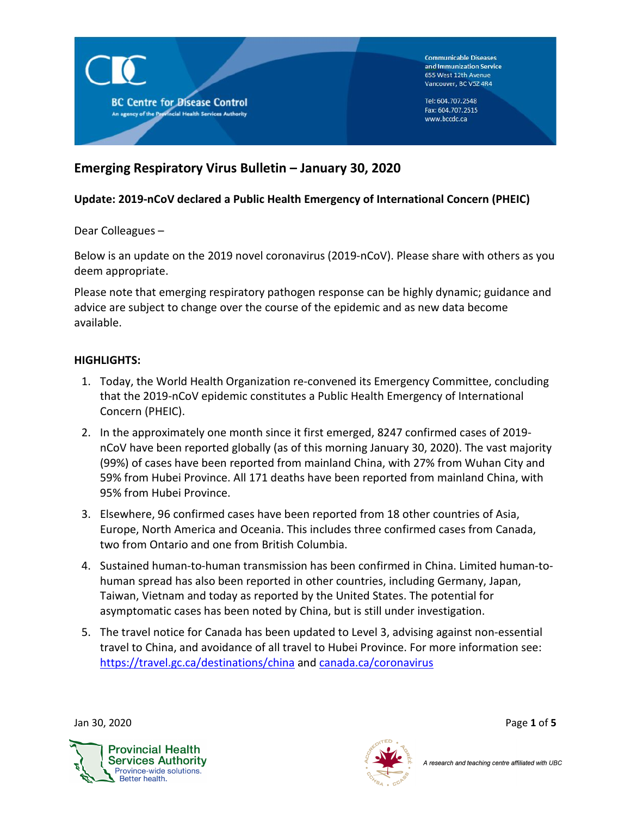

# **Emerging Respiratory Virus Bulletin – January 30, 2020**

## **Update: 2019-nCoV declared a Public Health Emergency of International Concern (PHEIC)**

Dear Colleagues –

Below is an update on the 2019 novel coronavirus (2019-nCoV). Please share with others as you deem appropriate.

Please note that emerging respiratory pathogen response can be highly dynamic; guidance and advice are subject to change over the course of the epidemic and as new data become available.

## **HIGHLIGHTS:**

- 1. Today, the World Health Organization re-convened its Emergency Committee, concluding that the 2019-nCoV epidemic constitutes a Public Health Emergency of International Concern (PHEIC).
- 2. In the approximately one month since it first emerged, 8247 confirmed cases of 2019 nCoV have been reported globally (as of this morning January 30, 2020). The vast majority (99%) of cases have been reported from mainland China, with 27% from Wuhan City and 59% from Hubei Province. All 171 deaths have been reported from mainland China, with 95% from Hubei Province.
- 3. Elsewhere, 96 confirmed cases have been reported from 18 other countries of Asia, Europe, North America and Oceania. This includes three confirmed cases from Canada, two from Ontario and one from British Columbia.
- 4. Sustained human-to-human transmission has been confirmed in China. Limited human-tohuman spread has also been reported in other countries, including Germany, Japan, Taiwan, Vietnam and today as reported by the United States. The potential for asymptomatic cases has been noted by China, but is still under investigation.
- 5. The travel notice for Canada has been updated to Level 3, advising against non-essential travel to China, and avoidance of all travel to Hubei Province. For more information see: <https://travel.gc.ca/destinations/china> and [canada.ca/coronavirus](https://www.canada.ca/en/public-health/services/diseases/2019-novel-coronavirus-infection.html?utm_campaign=not-applicable&utm_medium=vanity-url&utm_source=canada-ca_coronavirus)



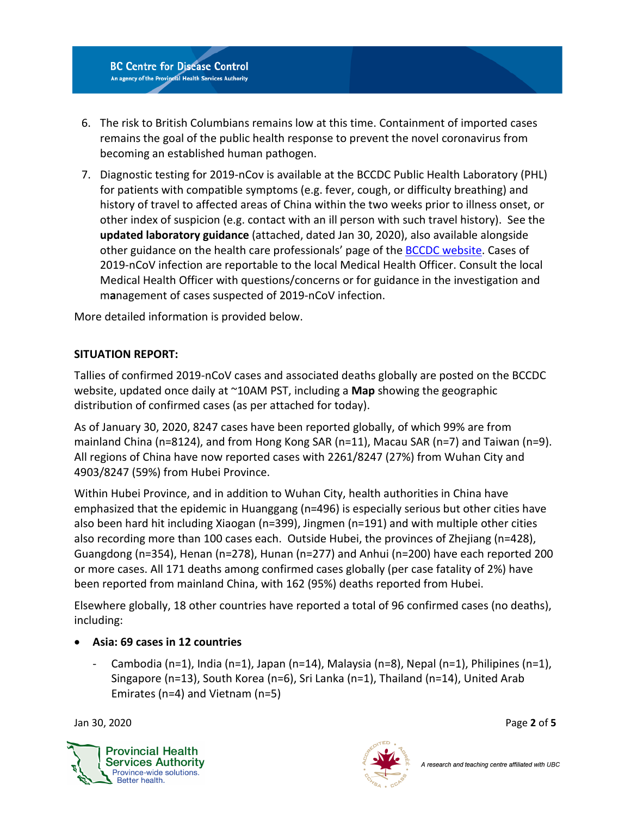

- 6. The risk to British Columbians remains low at this time. Containment of imported cases remains the goal of the public health response to prevent the novel coronavirus from becoming an established human pathogen.
- 7. Diagnostic testing for 2019-nCov is available at the BCCDC Public Health Laboratory (PHL) for patients with compatible symptoms (e.g. fever, cough, or difficulty breathing) and history of travel to affected areas of China within the two weeks prior to illness onset, or other index of suspicion (e.g. contact with an ill person with such travel history). See the **updated laboratory guidance** (attached, dated Jan 30, 2020), also available alongside other guidance on the health care professionals' page of the [BCCDC website.](http://www.bccdc.ca/health-professionals/clinical-resources/coronavirus-%28novel%29) Cases of 2019-nCoV infection are reportable to the local Medical Health Officer. Consult the local Medical Health Officer with questions/concerns or for guidance in the investigation and m**a**nagement of cases suspected of 2019-nCoV infection.

More detailed information is provided below.

## **SITUATION REPORT:**

Tallies of confirmed 2019-nCoV cases and associated deaths globally are posted on the BCCDC website, updated once daily at ~10AM PST, including a **Map** showing the geographic distribution of confirmed cases (as per attached for today).

As of January 30, 2020, 8247 cases have been reported globally, of which 99% are from mainland China (n=8124), and from Hong Kong SAR (n=11), Macau SAR (n=7) and Taiwan (n=9). All regions of China have now reported cases with 2261/8247 (27%) from Wuhan City and 4903/8247 (59%) from Hubei Province.

Within Hubei Province, and in addition to Wuhan City, health authorities in China have emphasized that the epidemic in Huanggang (n=496) is especially serious but other cities have also been hard hit including Xiaogan (n=399), Jingmen (n=191) and with multiple other cities also recording more than 100 cases each. Outside Hubei, the provinces of Zhejiang (n=428), Guangdong (n=354), Henan (n=278), Hunan (n=277) and Anhui (n=200) have each reported 200 or more cases. All 171 deaths among confirmed cases globally (per case fatality of 2%) have been reported from mainland China, with 162 (95%) deaths reported from Hubei.

Elsewhere globally, 18 other countries have reported a total of 96 confirmed cases (no deaths), including:

- **Asia: 69 cases in 12 countries** 
	- Cambodia (n=1), India (n=1), Japan (n=14), Malaysia (n=8), Nepal (n=1), Philipines (n=1), Singapore (n=13), South Korea (n=6), Sri Lanka (n=1), Thailand (n=14), United Arab Emirates (n=4) and Vietnam (n=5)

Jan 30, 2020 Page **2** of **5**



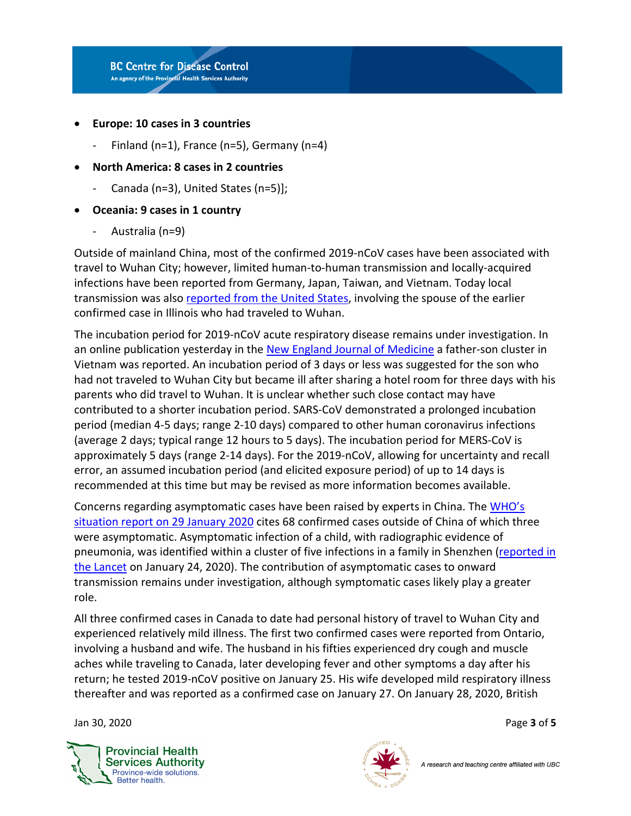

- **Europe: 10 cases in 3 countries**
	- Finland (n=1), France (n=5), Germany (n=4)
- **North America: 8 cases in 2 countries**
	- Canada (n=3), United States (n=5)];
- **Oceania: 9 cases in 1 country**
	- Australia (n=9)

Outside of mainland China, most of the confirmed 2019-nCoV cases have been associated with travel to Wuhan City; however, limited human-to-human transmission and locally-acquired infections have been reported from Germany, Japan, Taiwan, and Vietnam. Today local transmission was als[o reported from the United States,](http://www.cidrap.umn.edu/news-perspective/2020/01/first-human-human-ncov-spread-reported-us) involving the spouse of the earlier confirmed case in Illinois who had traveled to Wuhan.

The incubation period for 2019-nCoV acute respiratory disease remains under investigation. In an online publication yesterday in the [New England Journal of Medicine](https://www.nejm.org/doi/full/10.1056/NEJMc2001272?query=featured_home) a father-son cluster in Vietnam was reported. An incubation period of 3 days or less was suggested for the son who had not traveled to Wuhan City but became ill after sharing a hotel room for three days with his parents who did travel to Wuhan. It is unclear whether such close contact may have contributed to a shorter incubation period. SARS-CoV demonstrated a prolonged incubation period (median 4-5 days; range 2-10 days) compared to other human coronavirus infections (average 2 days; typical range 12 hours to 5 days). The incubation period for MERS-CoV is approximately 5 days (range 2-14 days). For the 2019-nCoV, allowing for uncertainty and recall error, an assumed incubation period (and elicited exposure period) of up to 14 days is recommended at this time but may be revised as more information becomes available.

Concerns regarding asymptomatic cases have been raised by experts in China. The [WHO's](https://www.who.int/docs/default-source/coronaviruse/situation-reports/20200129-sitrep-9-ncov-v2.pdf?sfvrsn=e2c8915_2)  [situation report on 29 January 2020](https://www.who.int/docs/default-source/coronaviruse/situation-reports/20200129-sitrep-9-ncov-v2.pdf?sfvrsn=e2c8915_2) cites 68 confirmed cases outside of China of which three were asymptomatic. Asymptomatic infection of a child, with radiographic evidence of pneumonia, was identified within a cluster of five infections in a family in Shenzhen [\(reported in](https://www.thelancet.com/journals/lancet/article/PIIS0140-6736(20)30154-9/fulltext)  [the Lancet](https://www.thelancet.com/journals/lancet/article/PIIS0140-6736(20)30154-9/fulltext) on January 24, 2020). The contribution of asymptomatic cases to onward transmission remains under investigation, although symptomatic cases likely play a greater role.

All three confirmed cases in Canada to date had personal history of travel to Wuhan City and experienced relatively mild illness. The first two confirmed cases were reported from Ontario, involving a husband and wife. The husband in his fifties experienced dry cough and muscle aches while traveling to Canada, later developing fever and other symptoms a day after his return; he tested 2019-nCoV positive on January 25. His wife developed mild respiratory illness thereafter and was reported as a confirmed case on January 27. On January 28, 2020, British

Jan 30, 2020 Page **3** of **5**



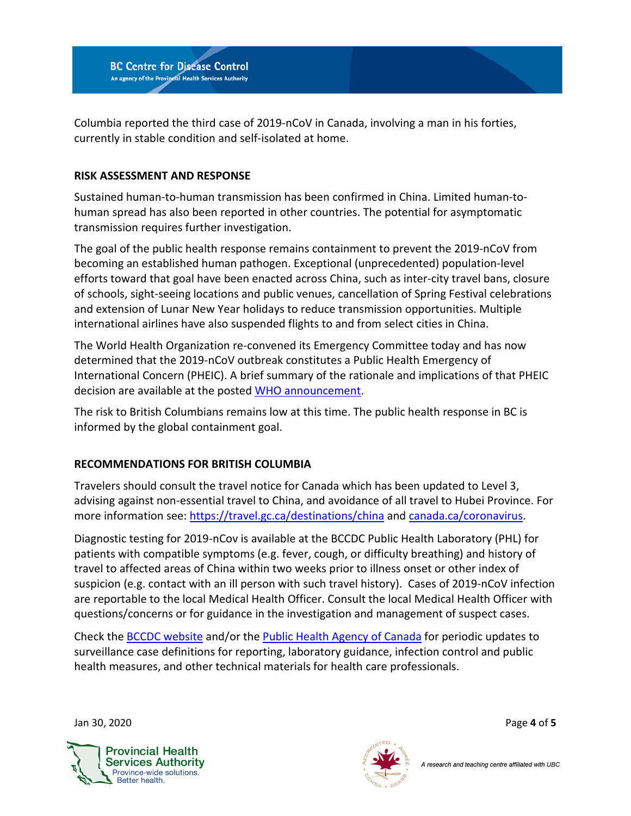

Columbia reported the third case of 2019-nCoV in Canada, involving a man in his forties, currently in stable condition and self-isolated at home.

## **RISK ASSESSMENT AND RESPONSE**

Sustained human-to-human transmission has been confirmed in China. Limited human-tohuman spread has also been reported in other countries. The potential for asymptomatic transmission requires further investigation.

The goal of the public health response remains containment to prevent the 2019-nCoV from becoming an established human pathogen. Exceptional (unprecedented) population-level efforts toward that goal have been enacted across China, such as inter-city travel bans, closure of schools, sight-seeing locations and public venues, cancellation of Spring Festival celebrations and extension of Lunar New Year holidays to reduce transmission opportunities. Multiple international airlines have also suspended flights to and from select cities in China.

The World Health Organization re-convened its Emergency Committee today and has now determined that the 2019-nCoV outbreak constitutes a Public Health Emergency of International Concern (PHEIC). A brief summary of the rationale and implications of that PHEIC decision are available at the posted [WHO announcement.](https://www.who.int/news-room/detail/30-01-2020-statement-on-the-second-meeting-of-the-international-health-regulations-(2005)-emergency-committee-regarding-the-outbreak-of-novel-coronavirus-(2019-ncov))

The risk to British Columbians remains low at this time. The public health response in BC is informed by the global containment goal.

## **RECOMMENDATIONS FOR BRITISH COLUMBIA**

Travelers should consult the travel notice for Canada which has been updated to Level 3, advising against non-essential travel to China, and avoidance of all travel to Hubei Province. For more information see:<https://travel.gc.ca/destinations/china> an[d canada.ca/coronavirus.](https://www.canada.ca/en/public-health/services/diseases/2019-novel-coronavirus-infection.html?utm_campaign=not-applicable&utm_medium=vanity-url&utm_source=canada-ca_coronavirus)

Diagnostic testing for 2019-nCov is available at the BCCDC Public Health Laboratory (PHL) for patients with compatible symptoms (e.g. fever, cough, or difficulty breathing) and history of travel to affected areas of China within two weeks prior to illness onset or other index of suspicion (e.g. contact with an ill person with such travel history). Cases of 2019-nCoV infection are reportable to the local Medical Health Officer. Consult the local Medical Health Officer with questions/concerns or for guidance in the investigation and management of suspect cases.

Check the [BCCDC website](http://www.bccdc.ca/health-professionals/clinical-resources/coronavirus-(novel)) and/or the [Public Health Agency of Canada](https://www.canada.ca/en/public-health/services/diseases/2019-novel-coronavirus-infection/health-professionals.html) for periodic updates to surveillance case definitions for reporting, laboratory guidance, infection control and public health measures, and other technical materials for health care professionals.

Jan 30, 2020 Page **4** of **5**